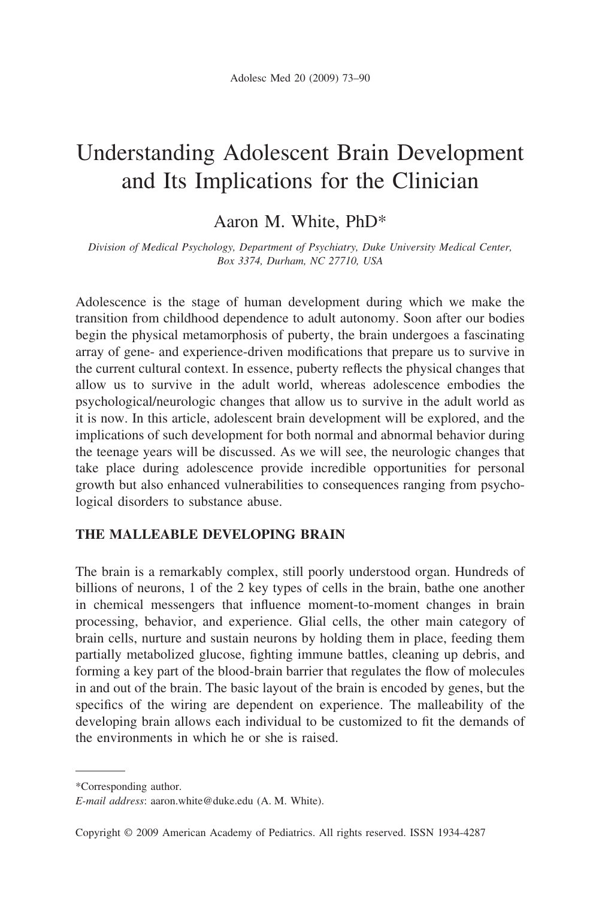# Understanding Adolescent Brain Development and Its Implications for the Clinician

# Aaron M. White, PhD\*

*Division of Medical Psychology, Department of Psychiatry, Duke University Medical Center, Box 3374, Durham, NC 27710, USA*

Adolescence is the stage of human development during which we make the transition from childhood dependence to adult autonomy. Soon after our bodies begin the physical metamorphosis of puberty, the brain undergoes a fascinating array of gene- and experience-driven modifications that prepare us to survive in the current cultural context. In essence, puberty reflects the physical changes that allow us to survive in the adult world, whereas adolescence embodies the psychological/neurologic changes that allow us to survive in the adult world as it is now. In this article, adolescent brain development will be explored, and the implications of such development for both normal and abnormal behavior during the teenage years will be discussed. As we will see, the neurologic changes that take place during adolescence provide incredible opportunities for personal growth but also enhanced vulnerabilities to consequences ranging from psychological disorders to substance abuse.

#### **THE MALLEABLE DEVELOPING BRAIN**

The brain is a remarkably complex, still poorly understood organ. Hundreds of billions of neurons, 1 of the 2 key types of cells in the brain, bathe one another in chemical messengers that influence moment-to-moment changes in brain processing, behavior, and experience. Glial cells, the other main category of brain cells, nurture and sustain neurons by holding them in place, feeding them partially metabolized glucose, fighting immune battles, cleaning up debris, and forming a key part of the blood-brain barrier that regulates the flow of molecules in and out of the brain. The basic layout of the brain is encoded by genes, but the specifics of the wiring are dependent on experience. The malleability of the developing brain allows each individual to be customized to fit the demands of the environments in which he or she is raised.

<sup>\*</sup>Corresponding author.

*E-mail address*: aaron.white@duke.edu (A. M. White).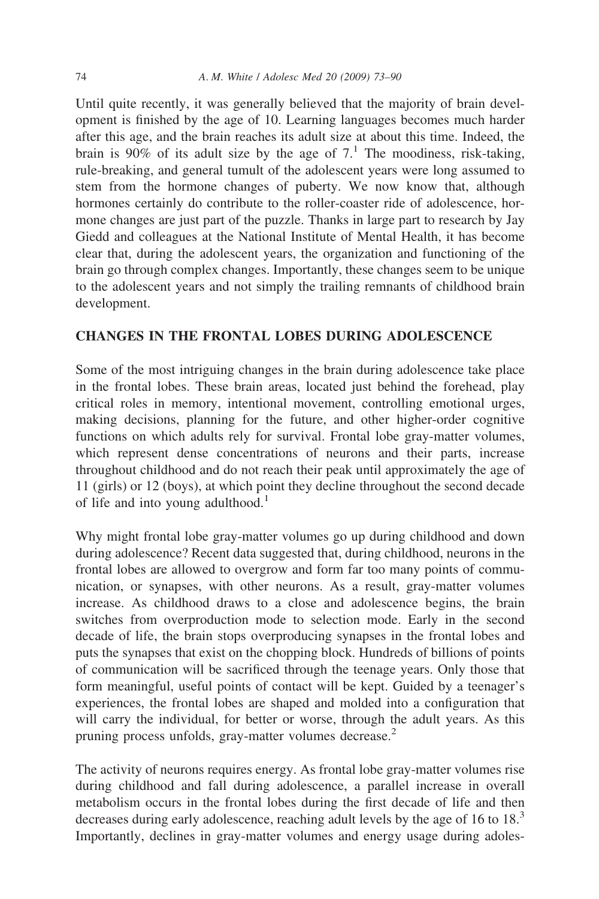Until quite recently, it was generally believed that the majority of brain development is finished by the age of 10. Learning languages becomes much harder after this age, and the brain reaches its adult size at about this time. Indeed, the brain is 90% of its adult size by the age of  $7<sup>1</sup>$ . The moodiness, risk-taking, rule-breaking, and general tumult of the adolescent years were long assumed to stem from the hormone changes of puberty. We now know that, although hormones certainly do contribute to the roller-coaster ride of adolescence, hormone changes are just part of the puzzle. Thanks in large part to research by Jay Giedd and colleagues at the National Institute of Mental Health, it has become clear that, during the adolescent years, the organization and functioning of the brain go through complex changes. Importantly, these changes seem to be unique to the adolescent years and not simply the trailing remnants of childhood brain development.

#### **CHANGES IN THE FRONTAL LOBES DURING ADOLESCENCE**

Some of the most intriguing changes in the brain during adolescence take place in the frontal lobes. These brain areas, located just behind the forehead, play critical roles in memory, intentional movement, controlling emotional urges, making decisions, planning for the future, and other higher-order cognitive functions on which adults rely for survival. Frontal lobe gray-matter volumes, which represent dense concentrations of neurons and their parts, increase throughout childhood and do not reach their peak until approximately the age of 11 (girls) or 12 (boys), at which point they decline throughout the second decade of life and into young adulthood.<sup>1</sup>

Why might frontal lobe gray-matter volumes go up during childhood and down during adolescence? Recent data suggested that, during childhood, neurons in the frontal lobes are allowed to overgrow and form far too many points of communication, or synapses, with other neurons. As a result, gray-matter volumes increase. As childhood draws to a close and adolescence begins, the brain switches from overproduction mode to selection mode. Early in the second decade of life, the brain stops overproducing synapses in the frontal lobes and puts the synapses that exist on the chopping block. Hundreds of billions of points of communication will be sacrificed through the teenage years. Only those that form meaningful, useful points of contact will be kept. Guided by a teenager's experiences, the frontal lobes are shaped and molded into a configuration that will carry the individual, for better or worse, through the adult years. As this pruning process unfolds, gray-matter volumes decrease.<sup>2</sup>

The activity of neurons requires energy. As frontal lobe gray-matter volumes rise during childhood and fall during adolescence, a parallel increase in overall metabolism occurs in the frontal lobes during the first decade of life and then decreases during early adolescence, reaching adult levels by the age of 16 to 18.<sup>3</sup> Importantly, declines in gray-matter volumes and energy usage during adoles-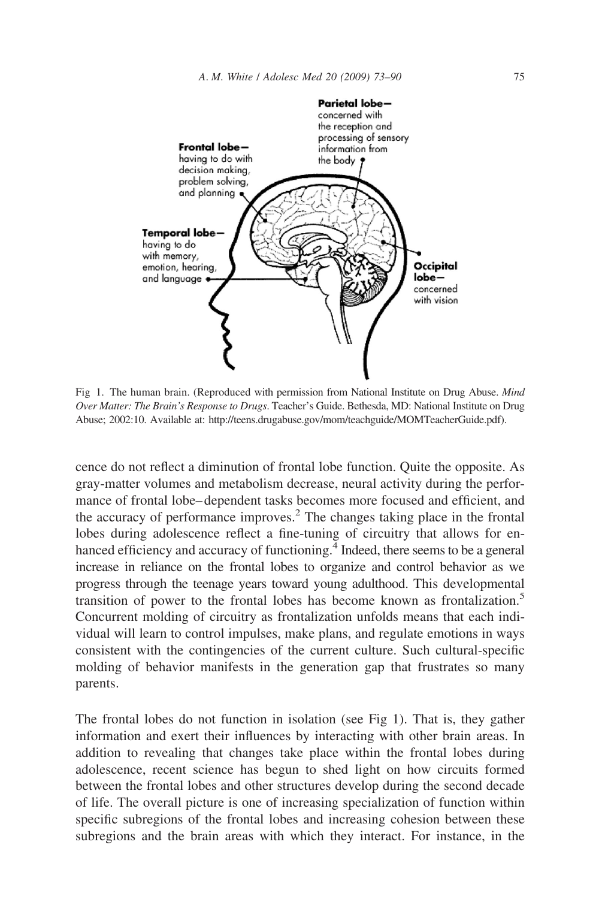

Fig 1. The human brain. (Reproduced with permission from National Institute on Drug Abuse. *Mind Over Matter: The Brain's Response to Drugs*. Teacher's Guide. Bethesda, MD: National Institute on Drug Abuse; 2002:10. Available at: http://teens.drugabuse.gov/mom/teachguide/MOMTeacherGuide.pdf).

cence do not reflect a diminution of frontal lobe function. Quite the opposite. As gray-matter volumes and metabolism decrease, neural activity during the performance of frontal lobe– dependent tasks becomes more focused and efficient, and the accuracy of performance improves.<sup>2</sup> The changes taking place in the frontal lobes during adolescence reflect a fine-tuning of circuitry that allows for enhanced efficiency and accuracy of functioning.<sup>4</sup> Indeed, there seems to be a general increase in reliance on the frontal lobes to organize and control behavior as we progress through the teenage years toward young adulthood. This developmental transition of power to the frontal lobes has become known as frontalization.5 Concurrent molding of circuitry as frontalization unfolds means that each individual will learn to control impulses, make plans, and regulate emotions in ways consistent with the contingencies of the current culture. Such cultural-specific molding of behavior manifests in the generation gap that frustrates so many parents.

The frontal lobes do not function in isolation (see Fig 1). That is, they gather information and exert their influences by interacting with other brain areas. In addition to revealing that changes take place within the frontal lobes during adolescence, recent science has begun to shed light on how circuits formed between the frontal lobes and other structures develop during the second decade of life. The overall picture is one of increasing specialization of function within specific subregions of the frontal lobes and increasing cohesion between these subregions and the brain areas with which they interact. For instance, in the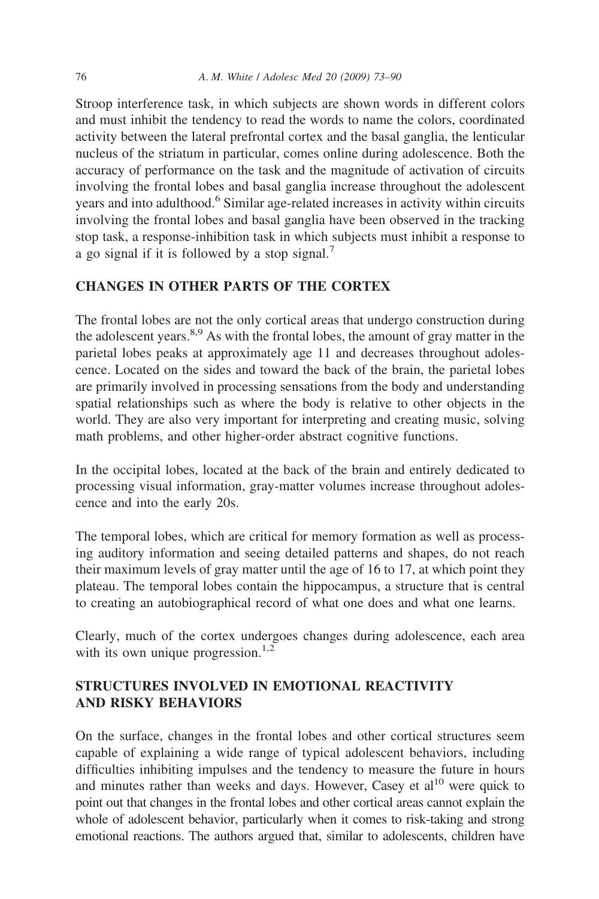Stroop interference task, in which subjects are shown words in different colors and must inhibit the tendency to read the words to name the colors, coordinated activity between the lateral prefrontal cortex and the basal ganglia, the lenticular nucleus of the striatum in particular, comes online during adolescence. Both the accuracy of performance on the task and the magnitude of activation of circuits involving the frontal lobes and basal ganglia increase throughout the adolescent years and into adulthood.<sup>6</sup> Similar age-related increases in activity within circuits involving the frontal lobes and basal ganglia have been observed in the tracking stop task, a response-inhibition task in which subjects must inhibit a response to a go signal if it is followed by a stop signal.<sup>7</sup>

### **CHANGES IN OTHER PARTS OF THE CORTEX**

The frontal lobes are not the only cortical areas that undergo construction during the adolescent years.8,9 As with the frontal lobes, the amount of gray matter in the parietal lobes peaks at approximately age 11 and decreases throughout adolescence. Located on the sides and toward the back of the brain, the parietal lobes are primarily involved in processing sensations from the body and understanding spatial relationships such as where the body is relative to other objects in the world. They are also very important for interpreting and creating music, solving math problems, and other higher-order abstract cognitive functions.

In the occipital lobes, located at the back of the brain and entirely dedicated to processing visual information, gray-matter volumes increase throughout adolescence and into the early 20s.

The temporal lobes, which are critical for memory formation as well as processing auditory information and seeing detailed patterns and shapes, do not reach their maximum levels of gray matter until the age of 16 to 17, at which point they plateau. The temporal lobes contain the hippocampus, a structure that is central to creating an autobiographical record of what one does and what one learns.

Clearly, much of the cortex undergoes changes during adolescence, each area with its own unique progression.<sup>1,2</sup>

# **STRUCTURES INVOLVED IN EMOTIONAL REACTIVITY AND RISKY BEHAVIORS**

On the surface, changes in the frontal lobes and other cortical structures seem capable of explaining a wide range of typical adolescent behaviors, including difficulties inhibiting impulses and the tendency to measure the future in hours and minutes rather than weeks and days. However, Casey et  $al^{10}$  were quick to point out that changes in the frontal lobes and other cortical areas cannot explain the whole of adolescent behavior, particularly when it comes to risk-taking and strong emotional reactions. The authors argued that, similar to adolescents, children have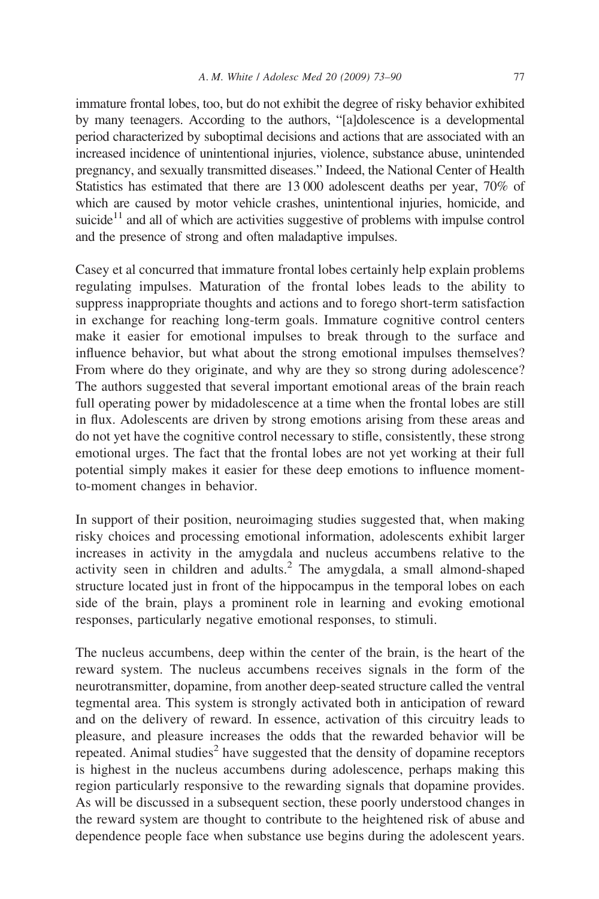immature frontal lobes, too, but do not exhibit the degree of risky behavior exhibited by many teenagers. According to the authors, "[a]dolescence is a developmental period characterized by suboptimal decisions and actions that are associated with an increased incidence of unintentional injuries, violence, substance abuse, unintended pregnancy, and sexually transmitted diseases." Indeed, the National Center of Health Statistics has estimated that there are 13 000 adolescent deaths per year, 70% of which are caused by motor vehicle crashes, unintentional injuries, homicide, and suicide $11$  and all of which are activities suggestive of problems with impulse control and the presence of strong and often maladaptive impulses.

Casey et al concurred that immature frontal lobes certainly help explain problems regulating impulses. Maturation of the frontal lobes leads to the ability to suppress inappropriate thoughts and actions and to forego short-term satisfaction in exchange for reaching long-term goals. Immature cognitive control centers make it easier for emotional impulses to break through to the surface and influence behavior, but what about the strong emotional impulses themselves? From where do they originate, and why are they so strong during adolescence? The authors suggested that several important emotional areas of the brain reach full operating power by midadolescence at a time when the frontal lobes are still in flux. Adolescents are driven by strong emotions arising from these areas and do not yet have the cognitive control necessary to stifle, consistently, these strong emotional urges. The fact that the frontal lobes are not yet working at their full potential simply makes it easier for these deep emotions to influence momentto-moment changes in behavior.

In support of their position, neuroimaging studies suggested that, when making risky choices and processing emotional information, adolescents exhibit larger increases in activity in the amygdala and nucleus accumbens relative to the activity seen in children and adults.<sup>2</sup> The amygdala, a small almond-shaped structure located just in front of the hippocampus in the temporal lobes on each side of the brain, plays a prominent role in learning and evoking emotional responses, particularly negative emotional responses, to stimuli.

The nucleus accumbens, deep within the center of the brain, is the heart of the reward system. The nucleus accumbens receives signals in the form of the neurotransmitter, dopamine, from another deep-seated structure called the ventral tegmental area. This system is strongly activated both in anticipation of reward and on the delivery of reward. In essence, activation of this circuitry leads to pleasure, and pleasure increases the odds that the rewarded behavior will be repeated. Animal studies<sup>2</sup> have suggested that the density of dopamine receptors is highest in the nucleus accumbens during adolescence, perhaps making this region particularly responsive to the rewarding signals that dopamine provides. As will be discussed in a subsequent section, these poorly understood changes in the reward system are thought to contribute to the heightened risk of abuse and dependence people face when substance use begins during the adolescent years.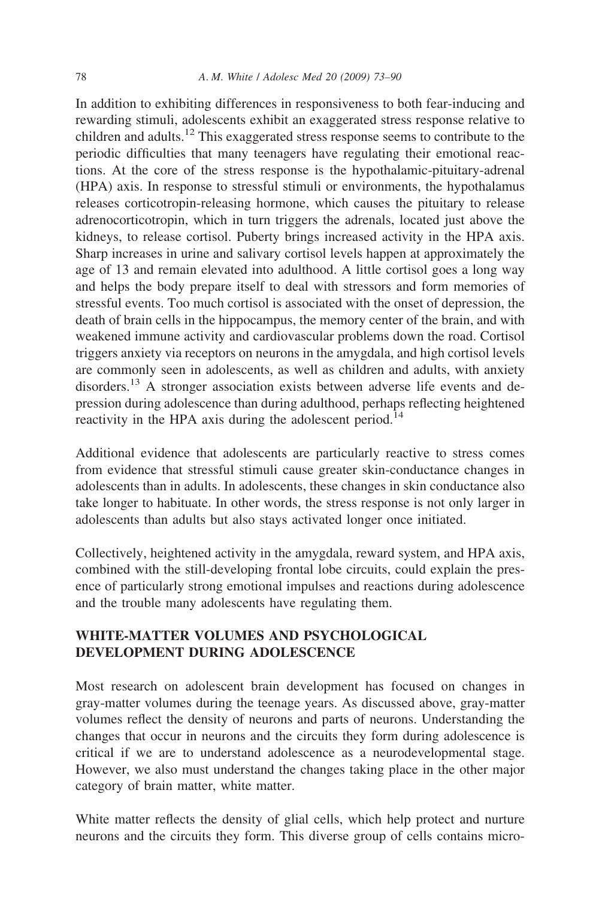In addition to exhibiting differences in responsiveness to both fear-inducing and rewarding stimuli, adolescents exhibit an exaggerated stress response relative to children and adults.12 This exaggerated stress response seems to contribute to the periodic difficulties that many teenagers have regulating their emotional reactions. At the core of the stress response is the hypothalamic-pituitary-adrenal (HPA) axis. In response to stressful stimuli or environments, the hypothalamus releases corticotropin-releasing hormone, which causes the pituitary to release adrenocorticotropin, which in turn triggers the adrenals, located just above the kidneys, to release cortisol. Puberty brings increased activity in the HPA axis. Sharp increases in urine and salivary cortisol levels happen at approximately the age of 13 and remain elevated into adulthood. A little cortisol goes a long way and helps the body prepare itself to deal with stressors and form memories of stressful events. Too much cortisol is associated with the onset of depression, the death of brain cells in the hippocampus, the memory center of the brain, and with weakened immune activity and cardiovascular problems down the road. Cortisol triggers anxiety via receptors on neurons in the amygdala, and high cortisol levels are commonly seen in adolescents, as well as children and adults, with anxiety disorders.<sup>13</sup> A stronger association exists between adverse life events and depression during adolescence than during adulthood, perhaps reflecting heightened reactivity in the HPA axis during the adolescent period.<sup>14</sup>

Additional evidence that adolescents are particularly reactive to stress comes from evidence that stressful stimuli cause greater skin-conductance changes in adolescents than in adults. In adolescents, these changes in skin conductance also take longer to habituate. In other words, the stress response is not only larger in adolescents than adults but also stays activated longer once initiated.

Collectively, heightened activity in the amygdala, reward system, and HPA axis, combined with the still-developing frontal lobe circuits, could explain the presence of particularly strong emotional impulses and reactions during adolescence and the trouble many adolescents have regulating them.

# **WHITE-MATTER VOLUMES AND PSYCHOLOGICAL DEVELOPMENT DURING ADOLESCENCE**

Most research on adolescent brain development has focused on changes in gray-matter volumes during the teenage years. As discussed above, gray-matter volumes reflect the density of neurons and parts of neurons. Understanding the changes that occur in neurons and the circuits they form during adolescence is critical if we are to understand adolescence as a neurodevelopmental stage. However, we also must understand the changes taking place in the other major category of brain matter, white matter.

White matter reflects the density of glial cells, which help protect and nurture neurons and the circuits they form. This diverse group of cells contains micro-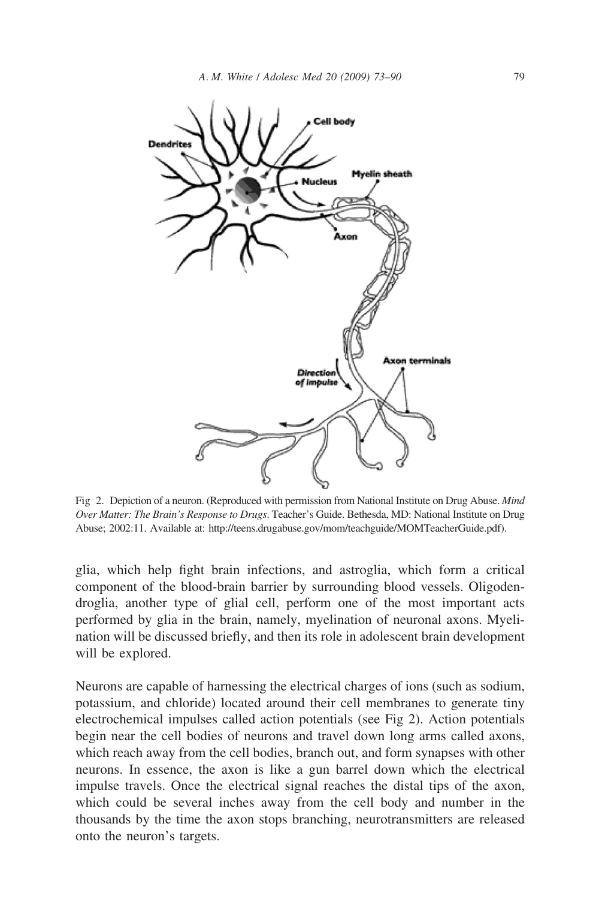

Fig 2. Depiction of a neuron. (Reproduced with permission from National Institute on Drug Abuse. *Mind Over Matter: The Brain's Response to Drugs*. Teacher's Guide. Bethesda, MD: National Institute on Drug Abuse; 2002:11. Available at: http://teens.drugabuse.gov/mom/teachguide/MOMTeacherGuide.pdf).

glia, which help fight brain infections, and astroglia, which form a critical component of the blood-brain barrier by surrounding blood vessels. Oligodendroglia, another type of glial cell, perform one of the most important acts performed by glia in the brain, namely, myelination of neuronal axons. Myelination will be discussed briefly, and then its role in adolescent brain development will be explored.

Neurons are capable of harnessing the electrical charges of ions (such as sodium, potassium, and chloride) located around their cell membranes to generate tiny electrochemical impulses called action potentials (see Fig 2). Action potentials begin near the cell bodies of neurons and travel down long arms called axons, which reach away from the cell bodies, branch out, and form synapses with other neurons. In essence, the axon is like a gun barrel down which the electrical impulse travels. Once the electrical signal reaches the distal tips of the axon, which could be several inches away from the cell body and number in the thousands by the time the axon stops branching, neurotransmitters are released onto the neuron's targets.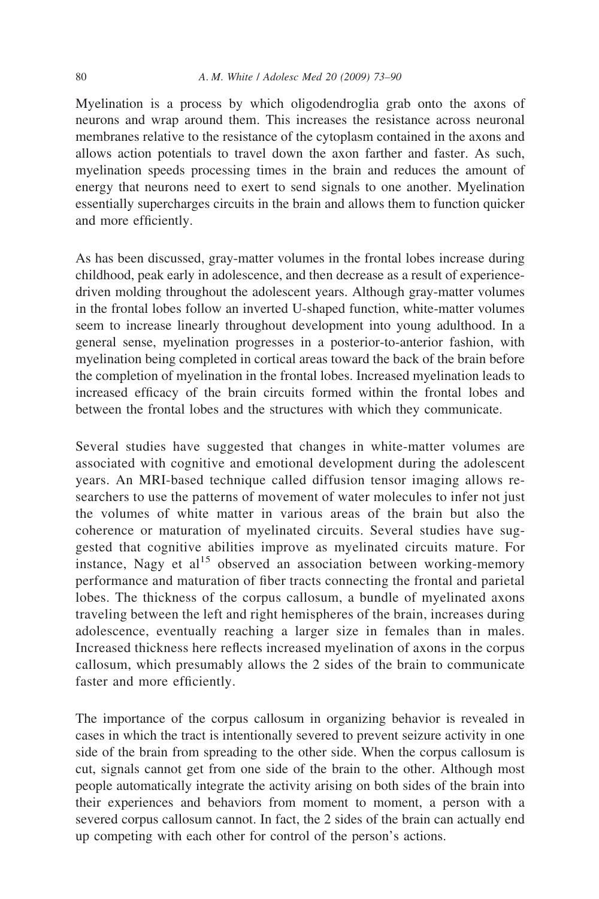Myelination is a process by which oligodendroglia grab onto the axons of neurons and wrap around them. This increases the resistance across neuronal membranes relative to the resistance of the cytoplasm contained in the axons and allows action potentials to travel down the axon farther and faster. As such, myelination speeds processing times in the brain and reduces the amount of energy that neurons need to exert to send signals to one another. Myelination essentially supercharges circuits in the brain and allows them to function quicker and more efficiently.

As has been discussed, gray-matter volumes in the frontal lobes increase during childhood, peak early in adolescence, and then decrease as a result of experiencedriven molding throughout the adolescent years. Although gray-matter volumes in the frontal lobes follow an inverted U-shaped function, white-matter volumes seem to increase linearly throughout development into young adulthood. In a general sense, myelination progresses in a posterior-to-anterior fashion, with myelination being completed in cortical areas toward the back of the brain before the completion of myelination in the frontal lobes. Increased myelination leads to increased efficacy of the brain circuits formed within the frontal lobes and between the frontal lobes and the structures with which they communicate.

Several studies have suggested that changes in white-matter volumes are associated with cognitive and emotional development during the adolescent years. An MRI-based technique called diffusion tensor imaging allows researchers to use the patterns of movement of water molecules to infer not just the volumes of white matter in various areas of the brain but also the coherence or maturation of myelinated circuits. Several studies have suggested that cognitive abilities improve as myelinated circuits mature. For instance, Nagy et al<sup>15</sup> observed an association between working-memory performance and maturation of fiber tracts connecting the frontal and parietal lobes. The thickness of the corpus callosum, a bundle of myelinated axons traveling between the left and right hemispheres of the brain, increases during adolescence, eventually reaching a larger size in females than in males. Increased thickness here reflects increased myelination of axons in the corpus callosum, which presumably allows the 2 sides of the brain to communicate faster and more efficiently.

The importance of the corpus callosum in organizing behavior is revealed in cases in which the tract is intentionally severed to prevent seizure activity in one side of the brain from spreading to the other side. When the corpus callosum is cut, signals cannot get from one side of the brain to the other. Although most people automatically integrate the activity arising on both sides of the brain into their experiences and behaviors from moment to moment, a person with a severed corpus callosum cannot. In fact, the 2 sides of the brain can actually end up competing with each other for control of the person's actions.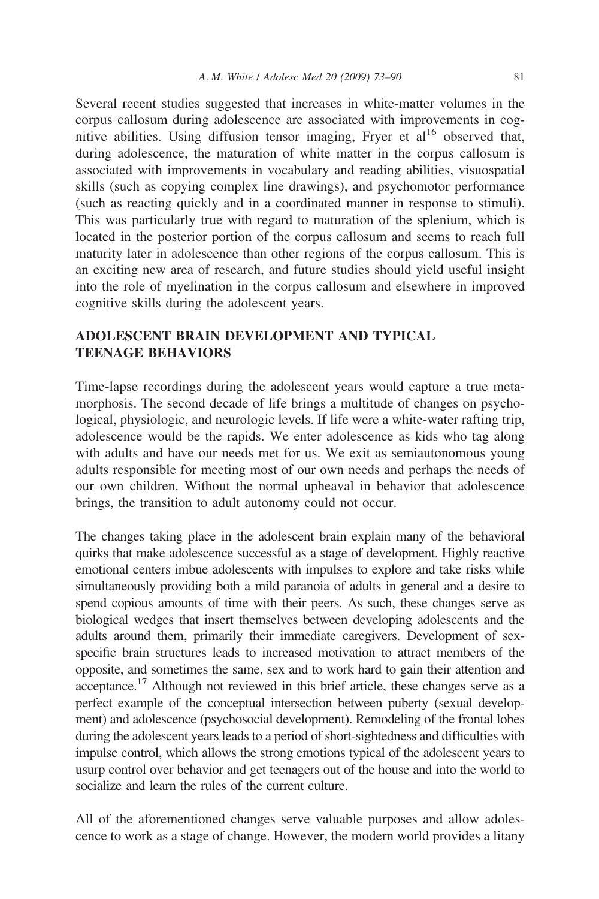Several recent studies suggested that increases in white-matter volumes in the corpus callosum during adolescence are associated with improvements in cognitive abilities. Using diffusion tensor imaging, Fryer et  $al<sup>16</sup>$  observed that, during adolescence, the maturation of white matter in the corpus callosum is associated with improvements in vocabulary and reading abilities, visuospatial skills (such as copying complex line drawings), and psychomotor performance (such as reacting quickly and in a coordinated manner in response to stimuli). This was particularly true with regard to maturation of the splenium, which is located in the posterior portion of the corpus callosum and seems to reach full maturity later in adolescence than other regions of the corpus callosum. This is an exciting new area of research, and future studies should yield useful insight into the role of myelination in the corpus callosum and elsewhere in improved cognitive skills during the adolescent years.

### **ADOLESCENT BRAIN DEVELOPMENT AND TYPICAL TEENAGE BEHAVIORS**

Time-lapse recordings during the adolescent years would capture a true metamorphosis. The second decade of life brings a multitude of changes on psychological, physiologic, and neurologic levels. If life were a white-water rafting trip, adolescence would be the rapids. We enter adolescence as kids who tag along with adults and have our needs met for us. We exit as semiautonomous young adults responsible for meeting most of our own needs and perhaps the needs of our own children. Without the normal upheaval in behavior that adolescence brings, the transition to adult autonomy could not occur.

The changes taking place in the adolescent brain explain many of the behavioral quirks that make adolescence successful as a stage of development. Highly reactive emotional centers imbue adolescents with impulses to explore and take risks while simultaneously providing both a mild paranoia of adults in general and a desire to spend copious amounts of time with their peers. As such, these changes serve as biological wedges that insert themselves between developing adolescents and the adults around them, primarily their immediate caregivers. Development of sexspecific brain structures leads to increased motivation to attract members of the opposite, and sometimes the same, sex and to work hard to gain their attention and acceptance.17 Although not reviewed in this brief article, these changes serve as a perfect example of the conceptual intersection between puberty (sexual development) and adolescence (psychosocial development). Remodeling of the frontal lobes during the adolescent years leads to a period of short-sightedness and difficulties with impulse control, which allows the strong emotions typical of the adolescent years to usurp control over behavior and get teenagers out of the house and into the world to socialize and learn the rules of the current culture.

All of the aforementioned changes serve valuable purposes and allow adolescence to work as a stage of change. However, the modern world provides a litany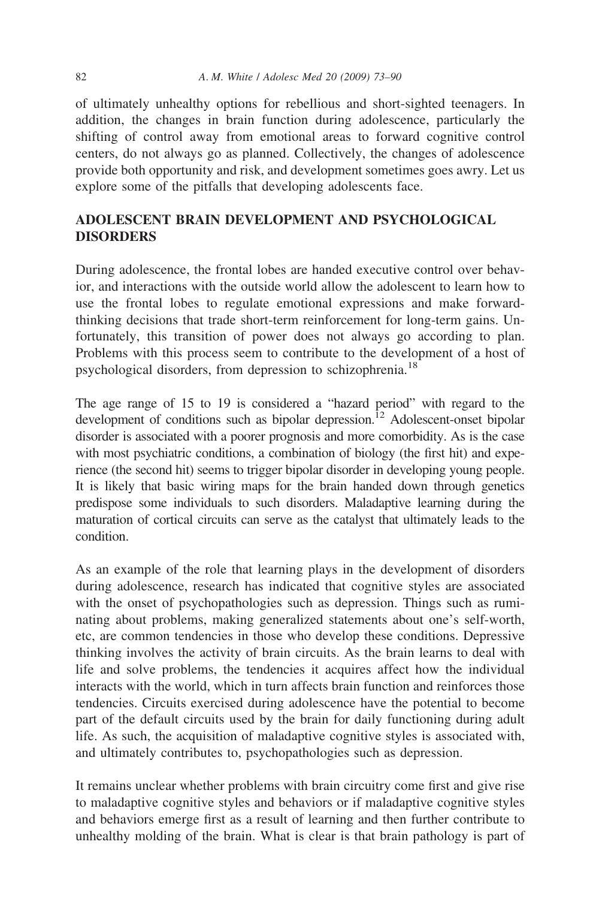of ultimately unhealthy options for rebellious and short-sighted teenagers. In addition, the changes in brain function during adolescence, particularly the shifting of control away from emotional areas to forward cognitive control centers, do not always go as planned. Collectively, the changes of adolescence provide both opportunity and risk, and development sometimes goes awry. Let us explore some of the pitfalls that developing adolescents face.

# **ADOLESCENT BRAIN DEVELOPMENT AND PSYCHOLOGICAL DISORDERS**

During adolescence, the frontal lobes are handed executive control over behavior, and interactions with the outside world allow the adolescent to learn how to use the frontal lobes to regulate emotional expressions and make forwardthinking decisions that trade short-term reinforcement for long-term gains. Unfortunately, this transition of power does not always go according to plan. Problems with this process seem to contribute to the development of a host of psychological disorders, from depression to schizophrenia.18

The age range of 15 to 19 is considered a "hazard period" with regard to the development of conditions such as bipolar depression.<sup>12</sup> Adolescent-onset bipolar disorder is associated with a poorer prognosis and more comorbidity. As is the case with most psychiatric conditions, a combination of biology (the first hit) and experience (the second hit) seems to trigger bipolar disorder in developing young people. It is likely that basic wiring maps for the brain handed down through genetics predispose some individuals to such disorders. Maladaptive learning during the maturation of cortical circuits can serve as the catalyst that ultimately leads to the condition.

As an example of the role that learning plays in the development of disorders during adolescence, research has indicated that cognitive styles are associated with the onset of psychopathologies such as depression. Things such as ruminating about problems, making generalized statements about one's self-worth, etc, are common tendencies in those who develop these conditions. Depressive thinking involves the activity of brain circuits. As the brain learns to deal with life and solve problems, the tendencies it acquires affect how the individual interacts with the world, which in turn affects brain function and reinforces those tendencies. Circuits exercised during adolescence have the potential to become part of the default circuits used by the brain for daily functioning during adult life. As such, the acquisition of maladaptive cognitive styles is associated with, and ultimately contributes to, psychopathologies such as depression.

It remains unclear whether problems with brain circuitry come first and give rise to maladaptive cognitive styles and behaviors or if maladaptive cognitive styles and behaviors emerge first as a result of learning and then further contribute to unhealthy molding of the brain. What is clear is that brain pathology is part of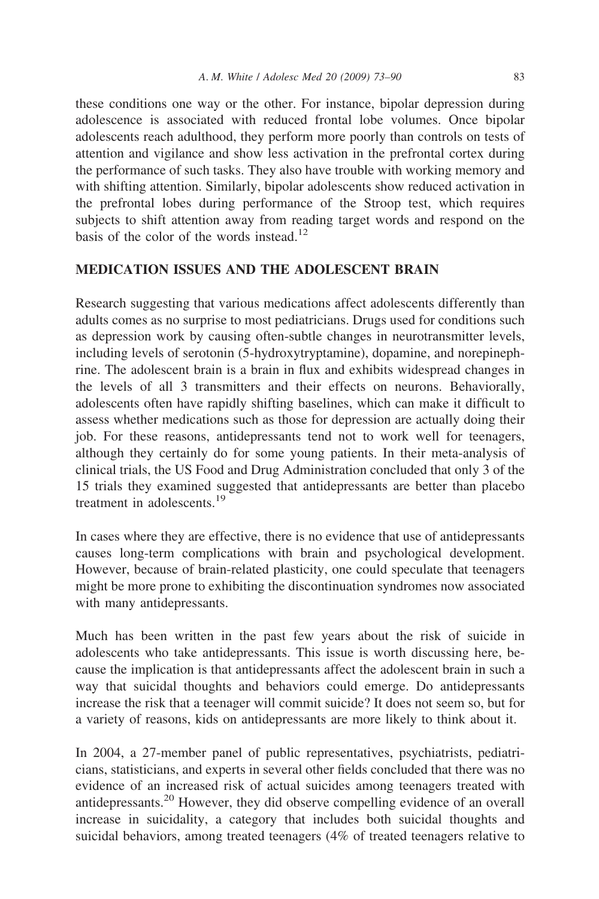these conditions one way or the other. For instance, bipolar depression during adolescence is associated with reduced frontal lobe volumes. Once bipolar adolescents reach adulthood, they perform more poorly than controls on tests of attention and vigilance and show less activation in the prefrontal cortex during the performance of such tasks. They also have trouble with working memory and with shifting attention. Similarly, bipolar adolescents show reduced activation in the prefrontal lobes during performance of the Stroop test, which requires subjects to shift attention away from reading target words and respond on the basis of the color of the words instead.<sup>12</sup>

#### **MEDICATION ISSUES AND THE ADOLESCENT BRAIN**

Research suggesting that various medications affect adolescents differently than adults comes as no surprise to most pediatricians. Drugs used for conditions such as depression work by causing often-subtle changes in neurotransmitter levels, including levels of serotonin (5-hydroxytryptamine), dopamine, and norepinephrine. The adolescent brain is a brain in flux and exhibits widespread changes in the levels of all 3 transmitters and their effects on neurons. Behaviorally, adolescents often have rapidly shifting baselines, which can make it difficult to assess whether medications such as those for depression are actually doing their job. For these reasons, antidepressants tend not to work well for teenagers, although they certainly do for some young patients. In their meta-analysis of clinical trials, the US Food and Drug Administration concluded that only 3 of the 15 trials they examined suggested that antidepressants are better than placebo treatment in adolescents.19

In cases where they are effective, there is no evidence that use of antidepressants causes long-term complications with brain and psychological development. However, because of brain-related plasticity, one could speculate that teenagers might be more prone to exhibiting the discontinuation syndromes now associated with many antidepressants.

Much has been written in the past few years about the risk of suicide in adolescents who take antidepressants. This issue is worth discussing here, because the implication is that antidepressants affect the adolescent brain in such a way that suicidal thoughts and behaviors could emerge. Do antidepressants increase the risk that a teenager will commit suicide? It does not seem so, but for a variety of reasons, kids on antidepressants are more likely to think about it.

In 2004, a 27-member panel of public representatives, psychiatrists, pediatricians, statisticians, and experts in several other fields concluded that there was no evidence of an increased risk of actual suicides among teenagers treated with antidepressants.<sup>20</sup> However, they did observe compelling evidence of an overall increase in suicidality, a category that includes both suicidal thoughts and suicidal behaviors, among treated teenagers (4% of treated teenagers relative to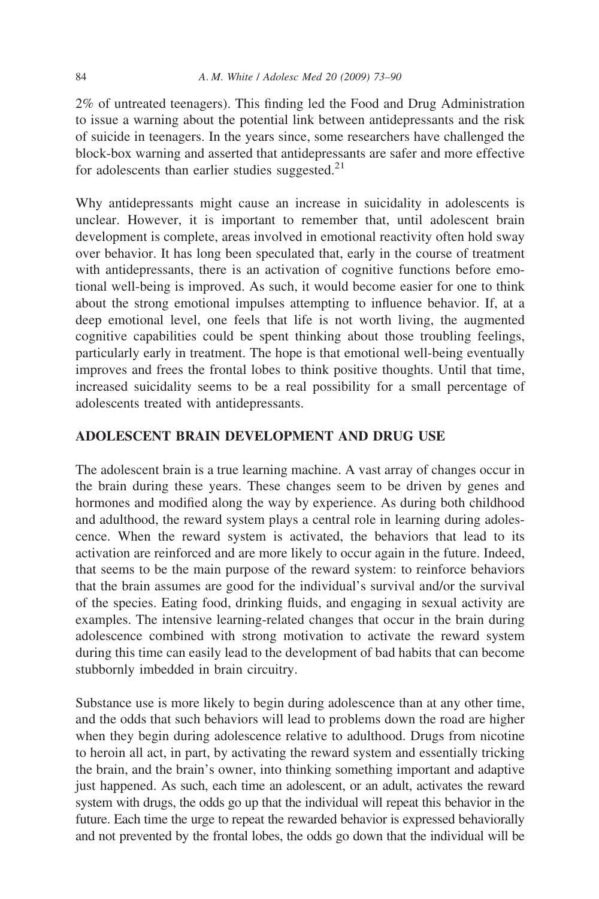2% of untreated teenagers). This finding led the Food and Drug Administration to issue a warning about the potential link between antidepressants and the risk of suicide in teenagers. In the years since, some researchers have challenged the block-box warning and asserted that antidepressants are safer and more effective for adolescents than earlier studies suggested. $21$ 

Why antidepressants might cause an increase in suicidality in adolescents is unclear. However, it is important to remember that, until adolescent brain development is complete, areas involved in emotional reactivity often hold sway over behavior. It has long been speculated that, early in the course of treatment with antidepressants, there is an activation of cognitive functions before emotional well-being is improved. As such, it would become easier for one to think about the strong emotional impulses attempting to influence behavior. If, at a deep emotional level, one feels that life is not worth living, the augmented cognitive capabilities could be spent thinking about those troubling feelings, particularly early in treatment. The hope is that emotional well-being eventually improves and frees the frontal lobes to think positive thoughts. Until that time, increased suicidality seems to be a real possibility for a small percentage of adolescents treated with antidepressants.

### **ADOLESCENT BRAIN DEVELOPMENT AND DRUG USE**

The adolescent brain is a true learning machine. A vast array of changes occur in the brain during these years. These changes seem to be driven by genes and hormones and modified along the way by experience. As during both childhood and adulthood, the reward system plays a central role in learning during adolescence. When the reward system is activated, the behaviors that lead to its activation are reinforced and are more likely to occur again in the future. Indeed, that seems to be the main purpose of the reward system: to reinforce behaviors that the brain assumes are good for the individual's survival and/or the survival of the species. Eating food, drinking fluids, and engaging in sexual activity are examples. The intensive learning-related changes that occur in the brain during adolescence combined with strong motivation to activate the reward system during this time can easily lead to the development of bad habits that can become stubbornly imbedded in brain circuitry.

Substance use is more likely to begin during adolescence than at any other time, and the odds that such behaviors will lead to problems down the road are higher when they begin during adolescence relative to adulthood. Drugs from nicotine to heroin all act, in part, by activating the reward system and essentially tricking the brain, and the brain's owner, into thinking something important and adaptive just happened. As such, each time an adolescent, or an adult, activates the reward system with drugs, the odds go up that the individual will repeat this behavior in the future. Each time the urge to repeat the rewarded behavior is expressed behaviorally and not prevented by the frontal lobes, the odds go down that the individual will be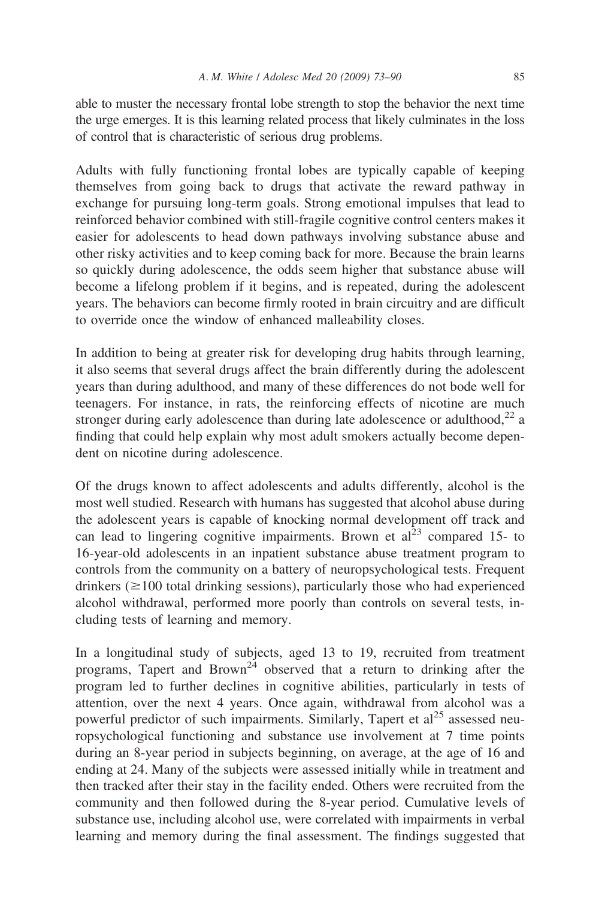able to muster the necessary frontal lobe strength to stop the behavior the next time the urge emerges. It is this learning related process that likely culminates in the loss of control that is characteristic of serious drug problems.

Adults with fully functioning frontal lobes are typically capable of keeping themselves from going back to drugs that activate the reward pathway in exchange for pursuing long-term goals. Strong emotional impulses that lead to reinforced behavior combined with still-fragile cognitive control centers makes it easier for adolescents to head down pathways involving substance abuse and other risky activities and to keep coming back for more. Because the brain learns so quickly during adolescence, the odds seem higher that substance abuse will become a lifelong problem if it begins, and is repeated, during the adolescent years. The behaviors can become firmly rooted in brain circuitry and are difficult to override once the window of enhanced malleability closes.

In addition to being at greater risk for developing drug habits through learning, it also seems that several drugs affect the brain differently during the adolescent years than during adulthood, and many of these differences do not bode well for teenagers. For instance, in rats, the reinforcing effects of nicotine are much stronger during early adolescence than during late adolescence or adulthood,<sup>22</sup> a finding that could help explain why most adult smokers actually become dependent on nicotine during adolescence.

Of the drugs known to affect adolescents and adults differently, alcohol is the most well studied. Research with humans has suggested that alcohol abuse during the adolescent years is capable of knocking normal development off track and can lead to lingering cognitive impairments. Brown et  $al<sup>23</sup>$  compared 15- to 16-year-old adolescents in an inpatient substance abuse treatment program to controls from the community on a battery of neuropsychological tests. Frequent drinkers ( $\geq$ 100 total drinking sessions), particularly those who had experienced alcohol withdrawal, performed more poorly than controls on several tests, including tests of learning and memory.

In a longitudinal study of subjects, aged 13 to 19, recruited from treatment programs, Tapert and Brown<sup>24</sup> observed that a return to drinking after the program led to further declines in cognitive abilities, particularly in tests of attention, over the next 4 years. Once again, withdrawal from alcohol was a powerful predictor of such impairments. Similarly, Tapert et al<sup>25</sup> assessed neuropsychological functioning and substance use involvement at 7 time points during an 8-year period in subjects beginning, on average, at the age of 16 and ending at 24. Many of the subjects were assessed initially while in treatment and then tracked after their stay in the facility ended. Others were recruited from the community and then followed during the 8-year period. Cumulative levels of substance use, including alcohol use, were correlated with impairments in verbal learning and memory during the final assessment. The findings suggested that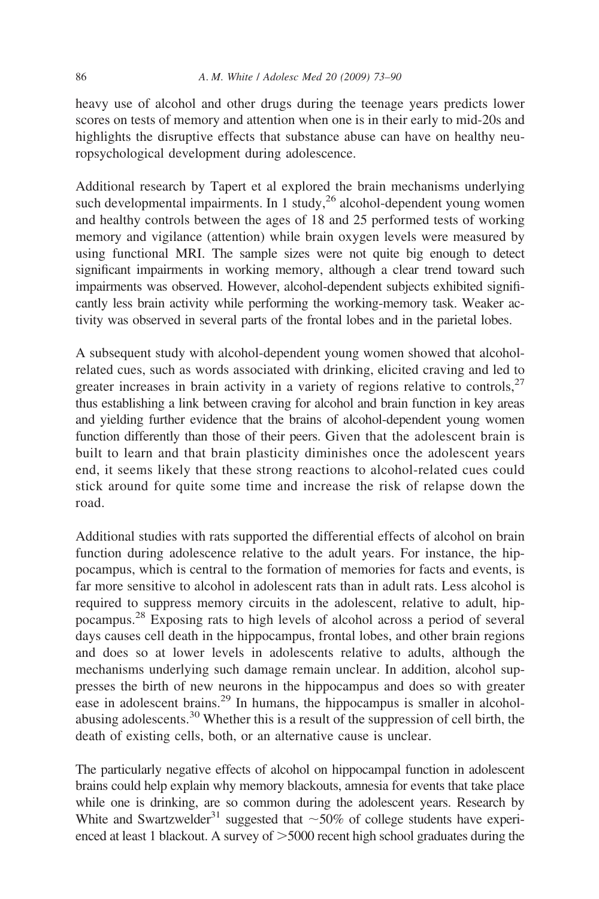heavy use of alcohol and other drugs during the teenage years predicts lower scores on tests of memory and attention when one is in their early to mid-20s and highlights the disruptive effects that substance abuse can have on healthy neuropsychological development during adolescence.

Additional research by Tapert et al explored the brain mechanisms underlying such developmental impairments. In 1 study,<sup>26</sup> alcohol-dependent young women and healthy controls between the ages of 18 and 25 performed tests of working memory and vigilance (attention) while brain oxygen levels were measured by using functional MRI. The sample sizes were not quite big enough to detect significant impairments in working memory, although a clear trend toward such impairments was observed. However, alcohol-dependent subjects exhibited significantly less brain activity while performing the working-memory task. Weaker activity was observed in several parts of the frontal lobes and in the parietal lobes.

A subsequent study with alcohol-dependent young women showed that alcoholrelated cues, such as words associated with drinking, elicited craving and led to greater increases in brain activity in a variety of regions relative to controls,  $27$ thus establishing a link between craving for alcohol and brain function in key areas and yielding further evidence that the brains of alcohol-dependent young women function differently than those of their peers. Given that the adolescent brain is built to learn and that brain plasticity diminishes once the adolescent years end, it seems likely that these strong reactions to alcohol-related cues could stick around for quite some time and increase the risk of relapse down the road.

Additional studies with rats supported the differential effects of alcohol on brain function during adolescence relative to the adult years. For instance, the hippocampus, which is central to the formation of memories for facts and events, is far more sensitive to alcohol in adolescent rats than in adult rats. Less alcohol is required to suppress memory circuits in the adolescent, relative to adult, hippocampus.28 Exposing rats to high levels of alcohol across a period of several days causes cell death in the hippocampus, frontal lobes, and other brain regions and does so at lower levels in adolescents relative to adults, although the mechanisms underlying such damage remain unclear. In addition, alcohol suppresses the birth of new neurons in the hippocampus and does so with greater ease in adolescent brains.<sup>29</sup> In humans, the hippocampus is smaller in alcoholabusing adolescents.30 Whether this is a result of the suppression of cell birth, the death of existing cells, both, or an alternative cause is unclear.

The particularly negative effects of alcohol on hippocampal function in adolescent brains could help explain why memory blackouts, amnesia for events that take place while one is drinking, are so common during the adolescent years. Research by White and Swartzwelder<sup>31</sup> suggested that  $\sim$  50% of college students have experienced at least 1 blackout. A survey of  $>5000$  recent high school graduates during the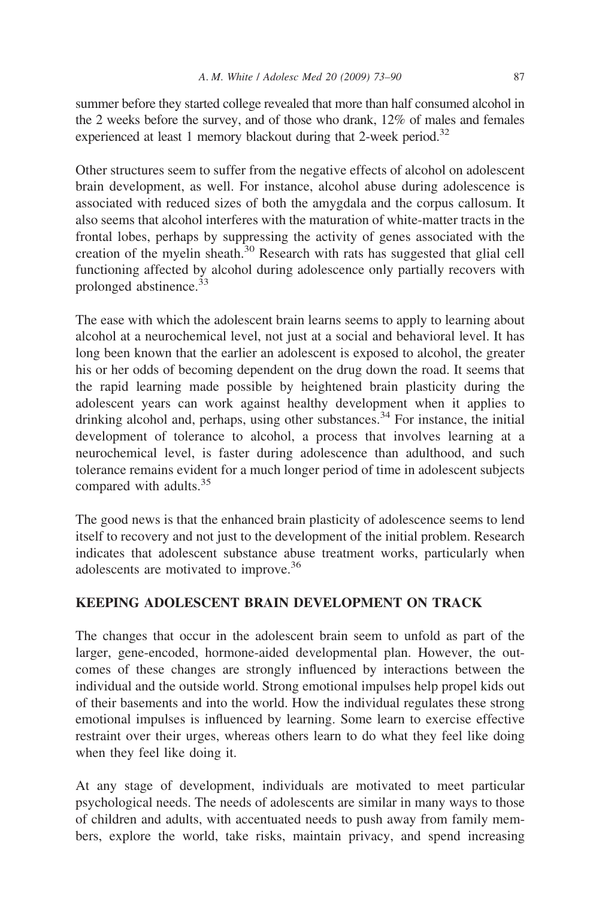summer before they started college revealed that more than half consumed alcohol in the 2 weeks before the survey, and of those who drank, 12% of males and females experienced at least 1 memory blackout during that 2-week period.<sup>32</sup>

Other structures seem to suffer from the negative effects of alcohol on adolescent brain development, as well. For instance, alcohol abuse during adolescence is associated with reduced sizes of both the amygdala and the corpus callosum. It also seems that alcohol interferes with the maturation of white-matter tracts in the frontal lobes, perhaps by suppressing the activity of genes associated with the creation of the myelin sheath.<sup>30</sup> Research with rats has suggested that glial cell functioning affected by alcohol during adolescence only partially recovers with prolonged abstinence.<sup>33</sup>

The ease with which the adolescent brain learns seems to apply to learning about alcohol at a neurochemical level, not just at a social and behavioral level. It has long been known that the earlier an adolescent is exposed to alcohol, the greater his or her odds of becoming dependent on the drug down the road. It seems that the rapid learning made possible by heightened brain plasticity during the adolescent years can work against healthy development when it applies to drinking alcohol and, perhaps, using other substances.<sup>34</sup> For instance, the initial development of tolerance to alcohol, a process that involves learning at a neurochemical level, is faster during adolescence than adulthood, and such tolerance remains evident for a much longer period of time in adolescent subjects compared with adults.<sup>35</sup>

The good news is that the enhanced brain plasticity of adolescence seems to lend itself to recovery and not just to the development of the initial problem. Research indicates that adolescent substance abuse treatment works, particularly when adolescents are motivated to improve.36

# **KEEPING ADOLESCENT BRAIN DEVELOPMENT ON TRACK**

The changes that occur in the adolescent brain seem to unfold as part of the larger, gene-encoded, hormone-aided developmental plan. However, the outcomes of these changes are strongly influenced by interactions between the individual and the outside world. Strong emotional impulses help propel kids out of their basements and into the world. How the individual regulates these strong emotional impulses is influenced by learning. Some learn to exercise effective restraint over their urges, whereas others learn to do what they feel like doing when they feel like doing it.

At any stage of development, individuals are motivated to meet particular psychological needs. The needs of adolescents are similar in many ways to those of children and adults, with accentuated needs to push away from family members, explore the world, take risks, maintain privacy, and spend increasing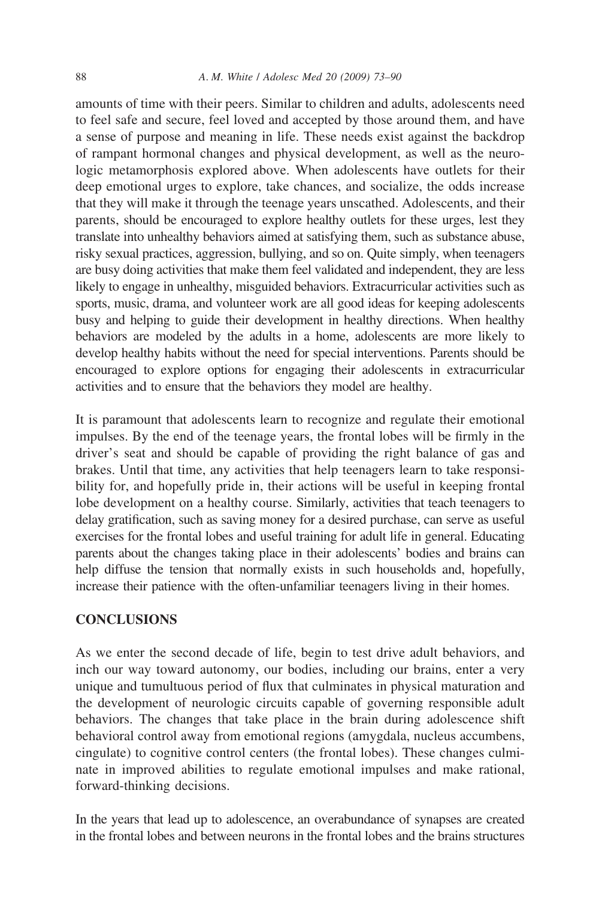#### 88 *A*. *M*. *White* / *Adolesc Med 20 (2009) 73–90*

amounts of time with their peers. Similar to children and adults, adolescents need to feel safe and secure, feel loved and accepted by those around them, and have a sense of purpose and meaning in life. These needs exist against the backdrop of rampant hormonal changes and physical development, as well as the neurologic metamorphosis explored above. When adolescents have outlets for their deep emotional urges to explore, take chances, and socialize, the odds increase that they will make it through the teenage years unscathed. Adolescents, and their parents, should be encouraged to explore healthy outlets for these urges, lest they translate into unhealthy behaviors aimed at satisfying them, such as substance abuse, risky sexual practices, aggression, bullying, and so on. Quite simply, when teenagers are busy doing activities that make them feel validated and independent, they are less likely to engage in unhealthy, misguided behaviors. Extracurricular activities such as sports, music, drama, and volunteer work are all good ideas for keeping adolescents busy and helping to guide their development in healthy directions. When healthy behaviors are modeled by the adults in a home, adolescents are more likely to develop healthy habits without the need for special interventions. Parents should be encouraged to explore options for engaging their adolescents in extracurricular activities and to ensure that the behaviors they model are healthy.

It is paramount that adolescents learn to recognize and regulate their emotional impulses. By the end of the teenage years, the frontal lobes will be firmly in the driver's seat and should be capable of providing the right balance of gas and brakes. Until that time, any activities that help teenagers learn to take responsibility for, and hopefully pride in, their actions will be useful in keeping frontal lobe development on a healthy course. Similarly, activities that teach teenagers to delay gratification, such as saving money for a desired purchase, can serve as useful exercises for the frontal lobes and useful training for adult life in general. Educating parents about the changes taking place in their adolescents' bodies and brains can help diffuse the tension that normally exists in such households and, hopefully, increase their patience with the often-unfamiliar teenagers living in their homes.

#### **CONCLUSIONS**

As we enter the second decade of life, begin to test drive adult behaviors, and inch our way toward autonomy, our bodies, including our brains, enter a very unique and tumultuous period of flux that culminates in physical maturation and the development of neurologic circuits capable of governing responsible adult behaviors. The changes that take place in the brain during adolescence shift behavioral control away from emotional regions (amygdala, nucleus accumbens, cingulate) to cognitive control centers (the frontal lobes). These changes culminate in improved abilities to regulate emotional impulses and make rational, forward-thinking decisions.

In the years that lead up to adolescence, an overabundance of synapses are created in the frontal lobes and between neurons in the frontal lobes and the brains structures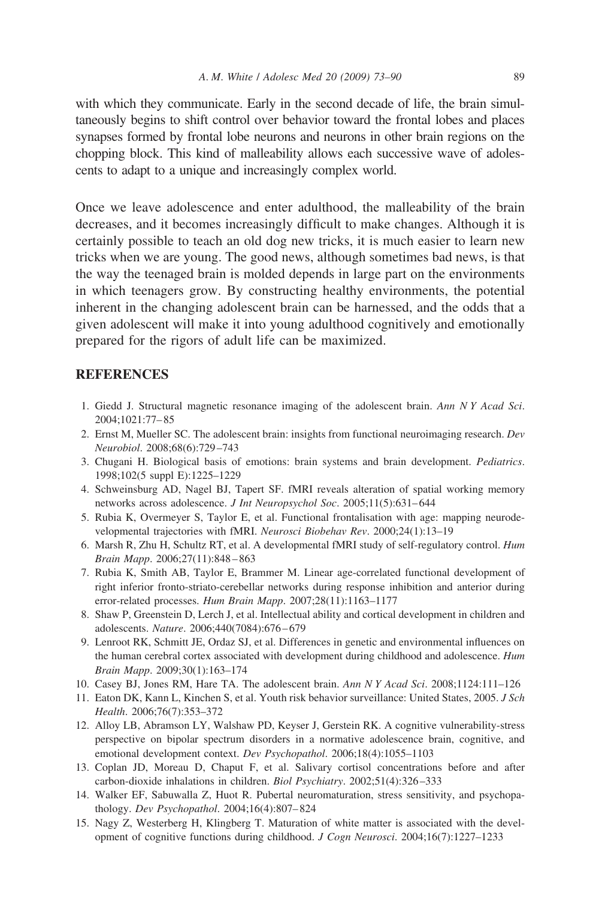with which they communicate. Early in the second decade of life, the brain simultaneously begins to shift control over behavior toward the frontal lobes and places synapses formed by frontal lobe neurons and neurons in other brain regions on the chopping block. This kind of malleability allows each successive wave of adolescents to adapt to a unique and increasingly complex world.

Once we leave adolescence and enter adulthood, the malleability of the brain decreases, and it becomes increasingly difficult to make changes. Although it is certainly possible to teach an old dog new tricks, it is much easier to learn new tricks when we are young. The good news, although sometimes bad news, is that the way the teenaged brain is molded depends in large part on the environments in which teenagers grow. By constructing healthy environments, the potential inherent in the changing adolescent brain can be harnessed, and the odds that a given adolescent will make it into young adulthood cognitively and emotionally prepared for the rigors of adult life can be maximized.

#### **REFERENCES**

- 1. Giedd J. Structural magnetic resonance imaging of the adolescent brain. *Ann N Y Acad Sci*. 2004;1021:77– 85
- 2. Ernst M, Mueller SC. The adolescent brain: insights from functional neuroimaging research. *Dev Neurobiol*. 2008;68(6):729 –743
- 3. Chugani H. Biological basis of emotions: brain systems and brain development. *Pediatrics*. 1998;102(5 suppl E):1225–1229
- 4. Schweinsburg AD, Nagel BJ, Tapert SF. fMRI reveals alteration of spatial working memory networks across adolescence. *J Int Neuropsychol Soc*. 2005;11(5):631– 644
- 5. Rubia K, Overmeyer S, Taylor E, et al. Functional frontalisation with age: mapping neurodevelopmental trajectories with fMRI. *Neurosci Biobehav Rev*. 2000;24(1):13–19
- 6. Marsh R, Zhu H, Schultz RT, et al. A developmental fMRI study of self-regulatory control. *Hum Brain Mapp*. 2006;27(11):848 – 863
- 7. Rubia K, Smith AB, Taylor E, Brammer M. Linear age-correlated functional development of right inferior fronto-striato-cerebellar networks during response inhibition and anterior during error-related processes. *Hum Brain Mapp*. 2007;28(11):1163–1177
- 8. Shaw P, Greenstein D, Lerch J, et al. Intellectual ability and cortical development in children and adolescents. *Nature*. 2006;440(7084):676 – 679
- 9. Lenroot RK, Schmitt JE, Ordaz SJ, et al. Differences in genetic and environmental influences on the human cerebral cortex associated with development during childhood and adolescence. *Hum Brain Mapp*. 2009;30(1):163–174
- 10. Casey BJ, Jones RM, Hare TA. The adolescent brain. *Ann N Y Acad Sci*. 2008;1124:111–126
- 11. Eaton DK, Kann L, Kinchen S, et al. Youth risk behavior surveillance: United States, 2005. *J Sch Health*. 2006;76(7):353–372
- 12. Alloy LB, Abramson LY, Walshaw PD, Keyser J, Gerstein RK. A cognitive vulnerability-stress perspective on bipolar spectrum disorders in a normative adolescence brain, cognitive, and emotional development context. *Dev Psychopathol*. 2006;18(4):1055–1103
- 13. Coplan JD, Moreau D, Chaput F, et al. Salivary cortisol concentrations before and after carbon-dioxide inhalations in children. *Biol Psychiatry*. 2002;51(4):326 –333
- 14. Walker EF, Sabuwalla Z, Huot R. Pubertal neuromaturation, stress sensitivity, and psychopathology. *Dev Psychopathol*. 2004;16(4):807– 824
- 15. Nagy Z, Westerberg H, Klingberg T. Maturation of white matter is associated with the development of cognitive functions during childhood. *J Cogn Neurosci*. 2004;16(7):1227–1233